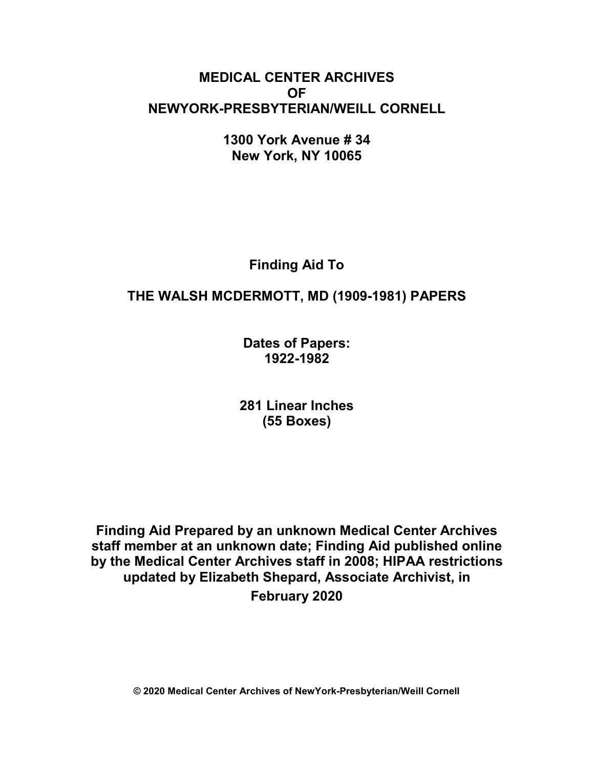# **MEDICAL CENTER ARCHIVES OF NEWYORK-PRESBYTERIAN/WEILL CORNELL**

**1300 York Avenue # 34 New York, NY 10065**

**Finding Aid To**

# **THE WALSH MCDERMOTT, MD (1909-1981) PAPERS**

**Dates of Papers: 1922-1982**

**281 Linear Inches (55 Boxes)**

**Finding Aid Prepared by an unknown Medical Center Archives staff member at an unknown date; Finding Aid published online by the Medical Center Archives staff in 2008; HIPAA restrictions updated by Elizabeth Shepard, Associate Archivist, in February 2020**

**© 2020 Medical Center Archives of NewYork-Presbyterian/Weill Cornell**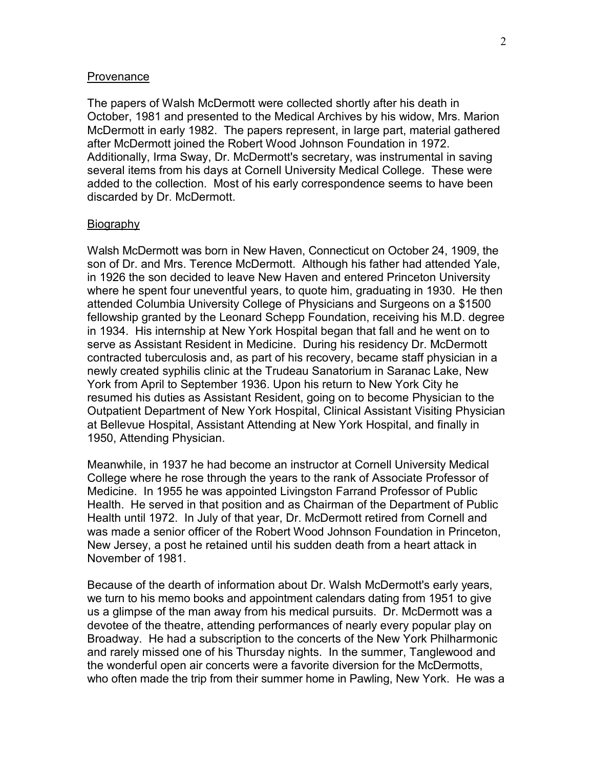#### **Provenance**

The papers of Walsh McDermott were collected shortly after his death in October, 1981 and presented to the Medical Archives by his widow, Mrs. Marion McDermott in early 1982. The papers represent, in large part, material gathered after McDermott joined the Robert Wood Johnson Foundation in 1972. Additionally, Irma Sway, Dr. McDermott's secretary, was instrumental in saving several items from his days at Cornell University Medical College. These were added to the collection. Most of his early correspondence seems to have been discarded by Dr. McDermott.

#### Biography

Walsh McDermott was born in New Haven, Connecticut on October 24, 1909, the son of Dr. and Mrs. Terence McDermott. Although his father had attended Yale, in 1926 the son decided to leave New Haven and entered Princeton University where he spent four uneventful years, to quote him, graduating in 1930. He then attended Columbia University College of Physicians and Surgeons on a \$1500 fellowship granted by the Leonard Schepp Foundation, receiving his M.D. degree in 1934. His internship at New York Hospital began that fall and he went on to serve as Assistant Resident in Medicine. During his residency Dr. McDermott contracted tuberculosis and, as part of his recovery, became staff physician in a newly created syphilis clinic at the Trudeau Sanatorium in Saranac Lake, New York from April to September 1936. Upon his return to New York City he resumed his duties as Assistant Resident, going on to become Physician to the Outpatient Department of New York Hospital, Clinical Assistant Visiting Physician at Bellevue Hospital, Assistant Attending at New York Hospital, and finally in 1950, Attending Physician.

Meanwhile, in 1937 he had become an instructor at Cornell University Medical College where he rose through the years to the rank of Associate Professor of Medicine. In 1955 he was appointed Livingston Farrand Professor of Public Health. He served in that position and as Chairman of the Department of Public Health until 1972. In July of that year, Dr. McDermott retired from Cornell and was made a senior officer of the Robert Wood Johnson Foundation in Princeton, New Jersey, a post he retained until his sudden death from a heart attack in November of 1981.

Because of the dearth of information about Dr. Walsh McDermott's early years, we turn to his memo books and appointment calendars dating from 1951 to give us a glimpse of the man away from his medical pursuits. Dr. McDermott was a devotee of the theatre, attending performances of nearly every popular play on Broadway. He had a subscription to the concerts of the New York Philharmonic and rarely missed one of his Thursday nights. In the summer, Tanglewood and the wonderful open air concerts were a favorite diversion for the McDermotts, who often made the trip from their summer home in Pawling, New York. He was a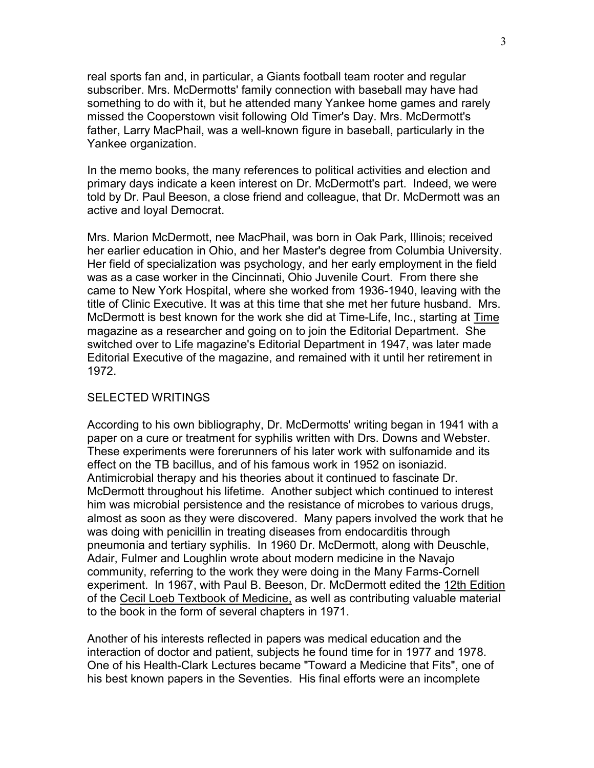real sports fan and, in particular, a Giants football team rooter and regular subscriber. Mrs. McDermotts' family connection with baseball may have had something to do with it, but he attended many Yankee home games and rarely missed the Cooperstown visit following Old Timer's Day. Mrs. McDermott's father, Larry MacPhail, was a well-known figure in baseball, particularly in the Yankee organization.

In the memo books, the many references to political activities and election and primary days indicate a keen interest on Dr. McDermott's part. Indeed, we were told by Dr. Paul Beeson, a close friend and colleague, that Dr. McDermott was an active and loyal Democrat.

Mrs. Marion McDermott, nee MacPhail, was born in Oak Park, Illinois; received her earlier education in Ohio, and her Master's degree from Columbia University. Her field of specialization was psychology, and her early employment in the field was as a case worker in the Cincinnati, Ohio Juvenile Court. From there she came to New York Hospital, where she worked from 1936-1940, leaving with the title of Clinic Executive. It was at this time that she met her future husband. Mrs. McDermott is best known for the work she did at Time-Life, Inc., starting at Time magazine as a researcher and going on to join the Editorial Department. She switched over to Life magazine's Editorial Department in 1947, was later made Editorial Executive of the magazine, and remained with it until her retirement in 1972.

#### SELECTED WRITINGS

According to his own bibliography, Dr. McDermotts' writing began in 1941 with a paper on a cure or treatment for syphilis written with Drs. Downs and Webster. These experiments were forerunners of his later work with sulfonamide and its effect on the TB bacillus, and of his famous work in 1952 on isoniazid. Antimicrobial therapy and his theories about it continued to fascinate Dr. McDermott throughout his lifetime. Another subject which continued to interest him was microbial persistence and the resistance of microbes to various drugs, almost as soon as they were discovered. Many papers involved the work that he was doing with penicillin in treating diseases from endocarditis through pneumonia and tertiary syphilis. In 1960 Dr. McDermott, along with Deuschle, Adair, Fulmer and Loughlin wrote about modern medicine in the Navajo community, referring to the work they were doing in the Many Farms-Cornell experiment. In 1967, with Paul B. Beeson, Dr. McDermott edited the 12th Edition of the Cecil Loeb Textbook of Medicine, as well as contributing valuable material to the book in the form of several chapters in 1971.

Another of his interests reflected in papers was medical education and the interaction of doctor and patient, subjects he found time for in 1977 and 1978. One of his Health-Clark Lectures became "Toward a Medicine that Fits", one of his best known papers in the Seventies. His final efforts were an incomplete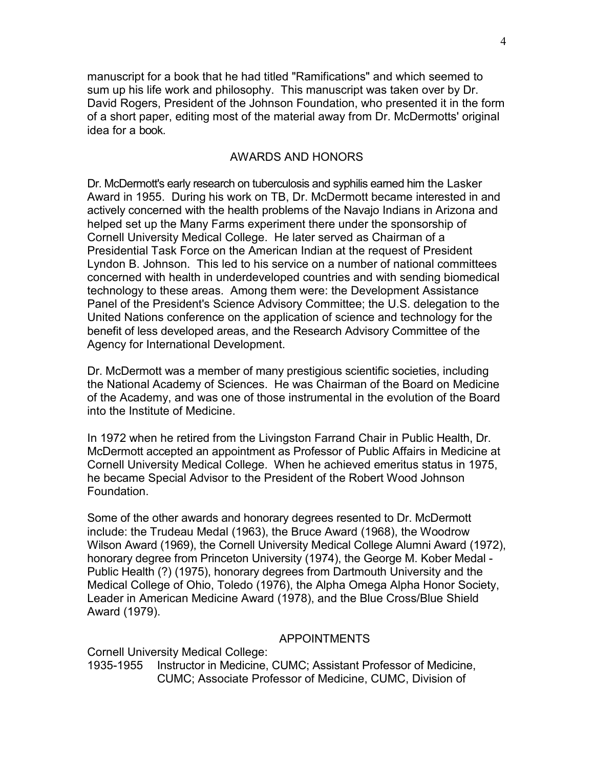manuscript for a book that he had titled "Ramifications" and which seemed to sum up his life work and philosophy. This manuscript was taken over by Dr. David Rogers, President of the Johnson Foundation, who presented it in the form of a short paper, editing most of the material away from Dr. McDermotts' original idea for a book.

#### AWARDS AND HONORS

Dr. McDermott's early research on tuberculosis and syphilis earned him the Lasker Award in 1955. During his work on TB, Dr. McDermott became interested in and actively concerned with the health problems of the Navajo Indians in Arizona and helped set up the Many Farms experiment there under the sponsorship of Cornell University Medical College. He later served as Chairman of a Presidential Task Force on the American Indian at the request of President Lyndon B. Johnson. This led to his service on a number of national committees concerned with health in underdeveloped countries and with sending biomedical technology to these areas. Among them were: the Development Assistance Panel of the President's Science Advisory Committee; the U.S. delegation to the United Nations conference on the application of science and technology for the benefit of less developed areas, and the Research Advisory Committee of the Agency for International Development.

Dr. McDermott was a member of many prestigious scientific societies, including the National Academy of Sciences. He was Chairman of the Board on Medicine of the Academy, and was one of those instrumental in the evolution of the Board into the Institute of Medicine.

In 1972 when he retired from the Livingston Farrand Chair in Public Health, Dr. McDermott accepted an appointment as Professor of Public Affairs in Medicine at Cornell University Medical College. When he achieved emeritus status in 1975, he became Special Advisor to the President of the Robert Wood Johnson Foundation.

Some of the other awards and honorary degrees resented to Dr. McDermott include: the Trudeau Medal (1963), the Bruce Award (1968), the Woodrow Wilson Award (1969), the Cornell University Medical College Alumni Award (1972), honorary degree from Princeton University (1974), the George M. Kober Medal - Public Health (?) (1975), honorary degrees from Dartmouth University and the Medical College of Ohio, Toledo (1976), the Alpha Omega Alpha Honor Society, Leader in American Medicine Award (1978), and the Blue Cross/Blue Shield Award (1979).

#### APPOINTMENTS

Cornell University Medical College:

1935-1955 Instructor in Medicine, CUMC; Assistant Professor of Medicine, CUMC; Associate Professor of Medicine, CUMC, Division of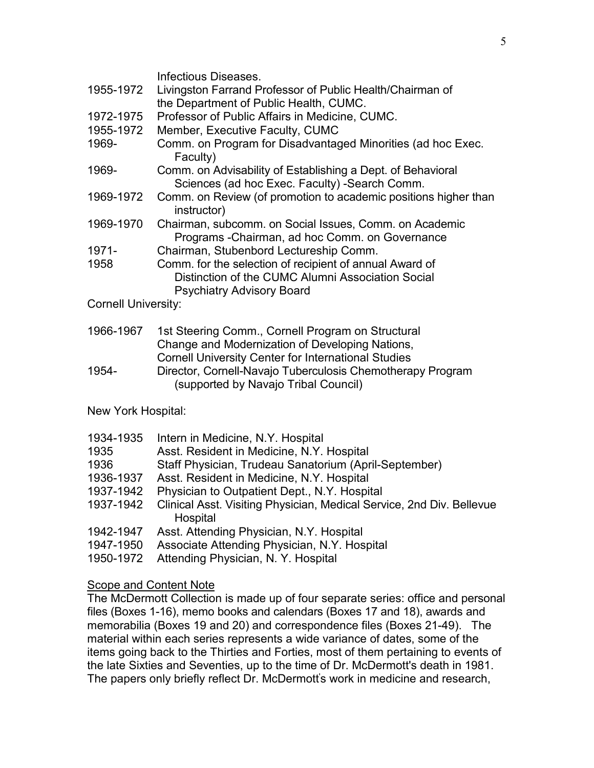|                    | Infectious Diseases.                                                                                         |
|--------------------|--------------------------------------------------------------------------------------------------------------|
| 1955-1972          | Livingston Farrand Professor of Public Health/Chairman of                                                    |
|                    | the Department of Public Health, CUMC.                                                                       |
| 1972-1975          | Professor of Public Affairs in Medicine, CUMC.                                                               |
| 1955-1972          | Member, Executive Faculty, CUMC                                                                              |
| 1969-              | Comm. on Program for Disadvantaged Minorities (ad hoc Exec.<br>Faculty)                                      |
| 1969-              | Comm. on Advisability of Establishing a Dept. of Behavioral<br>Sciences (ad hoc Exec. Faculty) -Search Comm. |
| 1969-1972          | Comm. on Review (of promotion to academic positions higher than<br>instructor)                               |
| 1969-1970          | Chairman, subcomm. on Social Issues, Comm. on Academic<br>Programs - Chairman, ad hoc Comm. on Governance    |
| 1971-              | Chairman, Stubenbord Lectureship Comm.                                                                       |
| 1958               | Comm. for the selection of recipient of annual Award of                                                      |
|                    | Distinction of the CUMC Alumni Association Social                                                            |
|                    | <b>Psychiatry Advisory Board</b>                                                                             |
| Cornell University |                                                                                                              |

Cornell University:

| 1966-1967 | 1st Steering Comm., Cornell Program on Structural          |
|-----------|------------------------------------------------------------|
|           | Change and Modernization of Developing Nations,            |
|           | <b>Cornell University Center for International Studies</b> |
| 1954-     | Director, Cornell-Navajo Tuberculosis Chemotherapy Program |
|           | (supported by Navajo Tribal Council)                       |

New York Hospital:

| 1934-1935 | Intern in Medicine, N.Y. Hospital                                                 |
|-----------|-----------------------------------------------------------------------------------|
| 1935      | Asst. Resident in Medicine, N.Y. Hospital                                         |
| 1936      | Staff Physician, Trudeau Sanatorium (April-September)                             |
| 1936-1937 | Asst. Resident in Medicine, N.Y. Hospital                                         |
| 1937-1942 | Physician to Outpatient Dept., N.Y. Hospital                                      |
| 1937-1942 | Clinical Asst. Visiting Physician, Medical Service, 2nd Div. Bellevue<br>Hospital |
| 1942-1947 | Asst. Attending Physician, N.Y. Hospital                                          |
| 1947-1950 | Associate Attending Physician, N.Y. Hospital                                      |

1950-1972 Attending Physician, N. Y. Hospital

#### **Scope and Content Note**

The McDermott Collection is made up of four separate series: office and personal files (Boxes 1-16), memo books and calendars (Boxes 17 and 18), awards and memorabilia (Boxes 19 and 20) and correspondence files (Boxes 21-49). The material within each series represents a wide variance of dates, some of the items going back to the Thirties and Forties, most of them pertaining to events of the late Sixties and Seventies, up to the time of Dr. McDermott's death in 1981. The papers only briefly reflect Dr. McDermott' s work in medicine and research,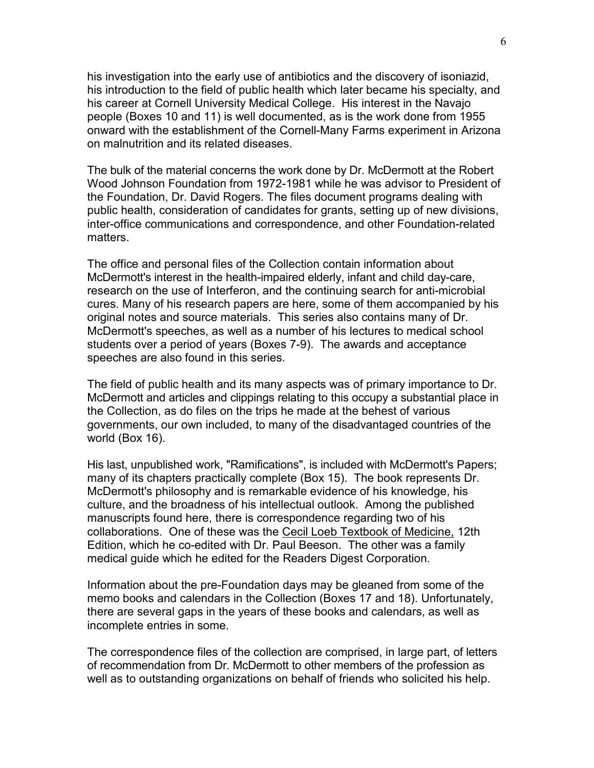his investigation into the early use of antibiotics and the discovery of isoniazid, his introduction to the field of public health which later became his specialty, and his career at Cornell University Medical College. His interest in the Navajo people (Boxes 10 and 11) is well documented, as is the work done from 1955 onward with the establishment of the Cornell-Many Farms experiment in Arizona on malnutrition and its related diseases.

The bulk of the material concerns the work done by Dr. McDermott at the Robert Wood Johnson Foundation from 1972-1981 while he was advisor to President of the Foundation, Dr. David Rogers. The files document programs dealing with public health, consideration of candidates for grants, setting up of new divisions, inter-office communications and correspondence, and other Foundation-related matters.

The office and personal files of the Collection contain information about McDermott's interest in the health-impaired elderly, infant and child day-care, research on the use of Interferon, and the continuing search for anti-microbial cures. Many of his research papers are here, some of them accompanied by his original notes and source materials. This series also contains many of Dr. McDermott's speeches, as well as a number of his lectures to medical school students over a period of years (Boxes 7-9). The awards and acceptance speeches are also found in this series.

The field of public health and its many aspects was of primary importance to Dr. McDermott and articles and clippings relating to this occupy a substantial place in the Collection, as do files on the trips he made at the behest of various governments, our own included, to many of the disadvantaged countries of the world (Box 16).

His last, unpublished work, "Ramifications", is included with McDermott's Papers; many of its chapters practically complete (Box 15). The book represents Dr. McDermott's philosophy and is remarkable evidence of his knowledge, his culture, and the broadness of his intellectual outlook. Among the published manuscripts found here, there is correspondence regarding two of his collaborations. One of these was the Cecil Loeb Textbook of Medicine, 12th Edition, which he co-edited with Dr. Paul Beeson. The other was a family medical guide which he edited for the Readers Digest Corporation.

Information about the pre-Foundation days may be gleaned from some of the memo books and calendars in the Collection (Boxes 17 and 18). Unfortunately, there are several gaps in the years of these books and calendars, as well as incomplete entries in some.

The correspondence files of the collection are comprised, in large part, of letters of recommendation from Dr. McDermott to other members of the profession as well as to outstanding organizations on behalf of friends who solicited his help.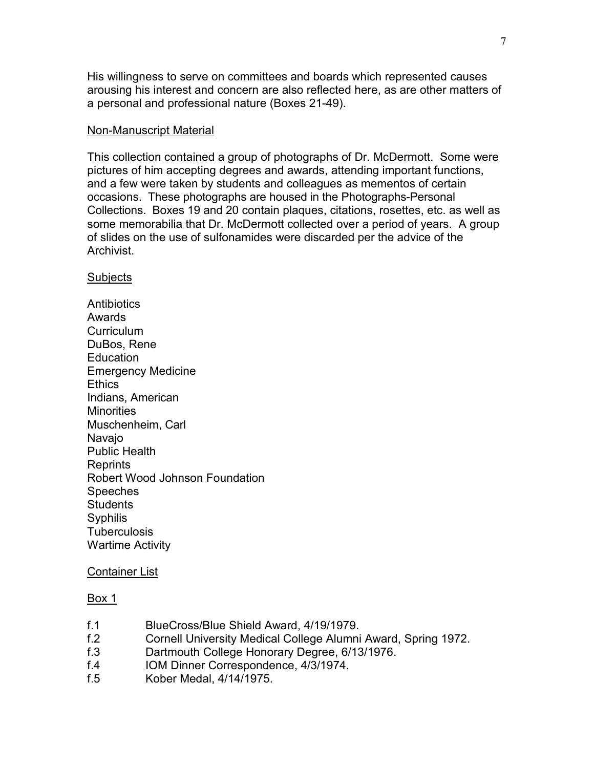His willingness to serve on committees and boards which represented causes arousing his interest and concern are also reflected here, as are other matters of a personal and professional nature (Boxes 21-49).

#### Non-Manuscript Material

This collection contained a group of photographs of Dr. McDermott. Some were pictures of him accepting degrees and awards, attending important functions, and a few were taken by students and colleagues as mementos of certain occasions. These photographs are housed in the Photographs-Personal Collections. Boxes 19 and 20 contain plaques, citations, rosettes, etc. as well as some memorabilia that Dr. McDermott collected over a period of years. A group of slides on the use of sulfonamides were discarded per the advice of the Archivist.

#### **Subjects**

**Antibiotics** Awards **Curriculum** DuBos, Rene **Education** Emergency Medicine **Ethics** Indians, American **Minorities** Muschenheim, Carl Navajo Public Health Reprints Robert Wood Johnson Foundation **Speeches Students Syphilis Tuberculosis** Wartime Activity

#### Container List

- f.1 BlueCross/Blue Shield Award, 4/19/1979.
- f.2 Cornell University Medical College Alumni Award, Spring 1972.
- f.3 Dartmouth College Honorary Degree, 6/13/1976.
- f.4 IOM Dinner Correspondence, 4/3/1974.
- f.5 Kober Medal, 4/14/1975.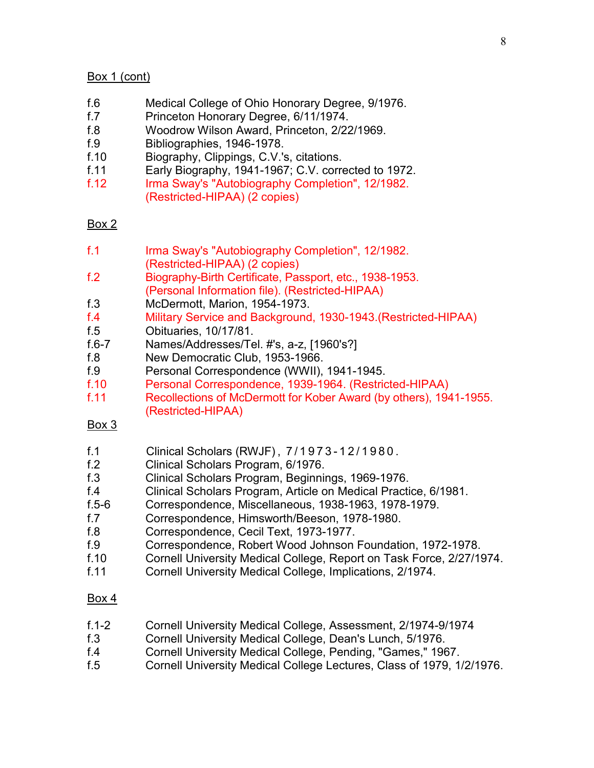## Box 1 (cont)

- f.6 Medical College of Ohio Honorary Degree, 9/1976.
- f.7 Princeton Honorary Degree, 6/11/1974.
- f.8 Woodrow Wilson Award, Princeton, 2/22/1969.
- f.9 Bibliographies, 1946-1978.
- f.10 Biography, Clippings, C.V.'s, citations.
- f.11 Early Biography, 1941-1967; C.V. corrected to 1972.
- f.12 Irma Sway's "Autobiography Completion", 12/1982. (Restricted-HIPAA) (2 copies)

## Box 2

- f.1 Irma Sway's "Autobiography Completion", 12/1982. (Restricted-HIPAA) (2 copies)
- f.2 Biography-Birth Certificate, Passport, etc., 1938-1953. (Personal Information file). (Restricted-HIPAA)
- f.3 McDermott, Marion, 1954-1973.
- f.4 Military Service and Background, 1930-1943.(Restricted-HIPAA)
- f.5 Obituaries, 10/17/81.<br>f.6-7 Names/Addresses/Te
- Names/Addresses/Tel. #'s, a-z, [1960's?]
- f.8 New Democratic Club, 1953-1966.
- f.9 Personal Correspondence (WWII), 1941-1945.
- f.10 Personal Correspondence, 1939-1964. (Restricted-HIPAA)
- f.11 Recollections of McDermott for Kober Award (by others), 1941-1955. (Restricted-HIPAA)

## Box 3

- f.1 Clinical Scholars (RWJF) , 7/1973 12/1980.
- f.2 Clinical Scholars Program, 6/1976.
- f.3 Clinical Scholars Program, Beginnings, 1969-1976.
- f.4 Clinical Scholars Program, Article on Medical Practice, 6/1981.
- f.5-6 Correspondence, Miscellaneous, 1938-1963, 1978-1979.
- f.7 Correspondence, Himsworth/Beeson, 1978-1980.
- f.8 Correspondence, Cecil Text, 1973-1977.
- f.9 Correspondence, Robert Wood Johnson Foundation, 1972-1978.
- f.10 Cornell University Medical College, Report on Task Force, 2/27/1974.
- f.11 Cornell University Medical College, Implications, 2/1974.

- f.1-2 Cornell University Medical College, Assessment, 2/1974-9/1974
- f.3 Cornell University Medical College, Dean's Lunch, 5/1976.
- f.4 Cornell University Medical College, Pending, "Games," 1967.
- f.5 Cornell University Medical College Lectures, Class of 1979, 1/2/1976.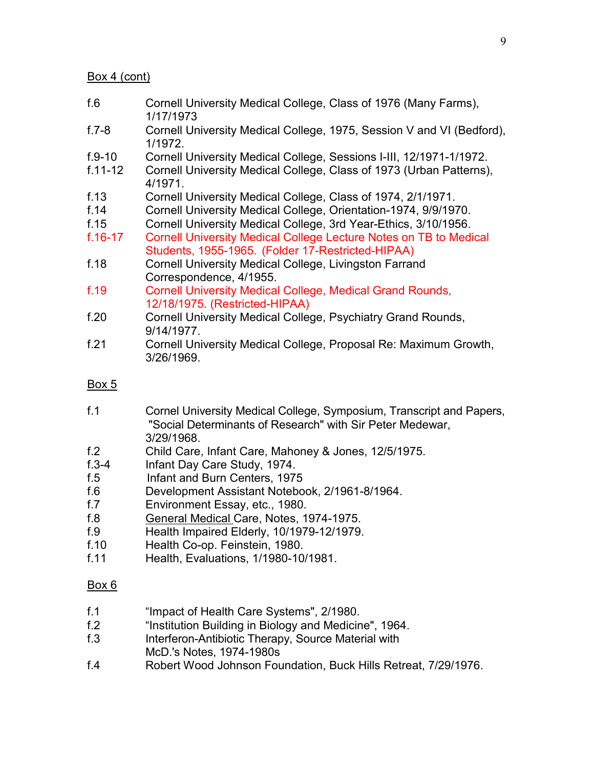#### Box 4 (cont)

- f.6 Cornell University Medical College, Class of 1976 (Many Farms), 1/17/1973
- f.7-8 Cornell University Medical College, 1975, Session V and VI (Bedford), 1/1972.
- f.9-10 Cornell University Medical College, Sessions I-III, 12/1971-1/1972.
- f.11-12 Cornell University Medical College, Class of 1973 (Urban Patterns), 4/1971.
- f.13 Cornell University Medical College, Class of 1974, 2/1/1971.
- f.14 Cornell University Medical College, Orientation-1974, 9/9/1970.
- f.15 Cornell University Medical College, 3rd Year-Ethics, 3/10/1956.
- f.16-17 Cornell University Medical College Lecture Notes on TB to Medical Students, 1955-1965. (Folder 17-Restricted-HIPAA)
- f.18 Cornell University Medical College, Livingston Farrand Correspondence, 4/1955.
- f.19 Cornell University Medical College, Medical Grand Rounds, 12/18/1975. (Restricted-HIPAA)
- f.20 Cornell University Medical College, Psychiatry Grand Rounds, 9/14/1977.
- f.21 Cornell University Medical College, Proposal Re: Maximum Growth, 3/26/1969.

## Box 5

- f.1 Cornel University Medical College, Symposium, Transcript and Papers, "Social Determinants of Research" with Sir Peter Medewar, 3/29/1968.
- f.2 Child Care, Infant Care, Mahoney & Jones, 12/5/1975.
- f.3-4 Infant Day Care Study, 1974.
- f.5 Infant and Burn Centers, 1975
- f.6 Development Assistant Notebook, 2/1961-8/1964.
- f.7 Environment Essay, etc., 1980.
- f.8 General Medical Care, Notes, 1974-1975.
- f.9 Health Impaired Elderly, 10/1979-12/1979.
- f.10 Health Co-op. Feinstein, 1980.
- f.11 Health, Evaluations, 1/1980-10/1981.

- f.1 "Impact of Health Care Systems", 2/1980.
- "Institution Building in Biology and Medicine", 1964.
- f.3 Interferon-Antibiotic Therapy, Source Material with McD.'s Notes, 1974-1980s
- f.4 Robert Wood Johnson Foundation, Buck Hills Retreat, 7/29/1976.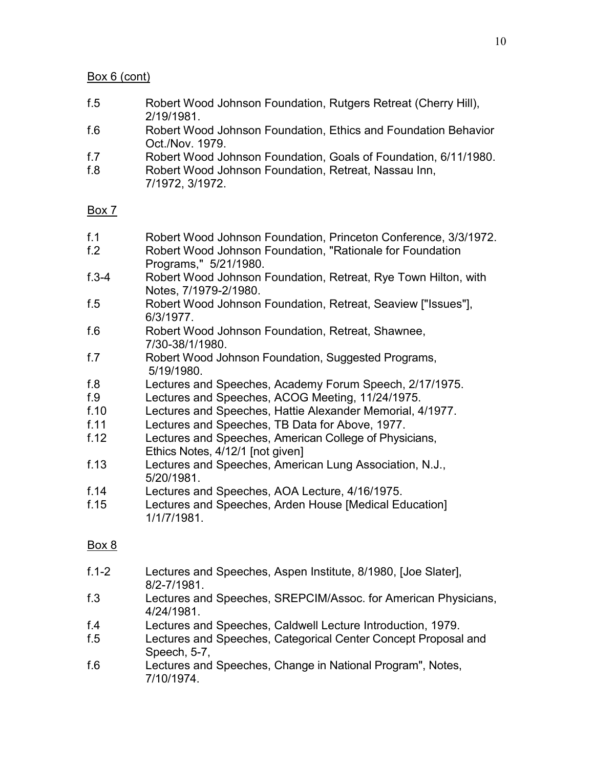## Box 6 (cont)

- f.5 Robert Wood Johnson Foundation, Rutgers Retreat (Cherry Hill), 2/19/1981.
- f.6 Robert Wood Johnson Foundation, Ethics and Foundation Behavior Oct./Nov. 1979.
- f.7 Robert Wood Johnson Foundation, Goals of Foundation, 6/11/1980.
- f.8 Robert Wood Johnson Foundation, Retreat, Nassau Inn, 7/1972, 3/1972.

## Box 7

- f.1 Robert Wood Johnson Foundation, Princeton Conference, 3/3/1972.
- f.2 Robert Wood Johnson Foundation, "Rationale for Foundation Programs," 5/21/1980.
- f.3-4 Robert Wood Johnson Foundation, Retreat, Rye Town Hilton, with Notes, 7/1979-2/1980.
- f.5 Robert Wood Johnson Foundation, Retreat, Seaview ["Issues"], 6/3/1977.
- f.6 Robert Wood Johnson Foundation, Retreat, Shawnee, 7/30-38/1/1980.
- f.7 Robert Wood Johnson Foundation, Suggested Programs, 5/19/1980.
- f.8 Lectures and Speeches, Academy Forum Speech, 2/17/1975.
- f.9 Lectures and Speeches, ACOG Meeting, 11/24/1975.
- f.10 Lectures and Speeches, Hattie Alexander Memorial, 4/1977.
- f.11 Lectures and Speeches, TB Data for Above, 1977.
- f.12 Lectures and Speeches, American College of Physicians, Ethics Notes, 4/12/1 [not given]
- f.13 Lectures and Speeches, American Lung Association, N.J., 5/20/1981.
- f.14 Lectures and Speeches, AOA Lecture, 4/16/1975.
- f.15 Lectures and Speeches, Arden House [Medical Education] 1/1/7/1981.

- f.1-2 Lectures and Speeches, Aspen Institute, 8/1980, [Joe Slater], 8/2-7/1981.
- f.3 Lectures and Speeches, SREPCIM/Assoc. for American Physicians, 4/24/1981.
- f.4 Lectures and Speeches, Caldwell Lecture Introduction, 1979.
- f.5 Lectures and Speeches, Categorical Center Concept Proposal and Speech, 5-7,
- f.6 Lectures and Speeches, Change in National Program", Notes, 7/10/1974.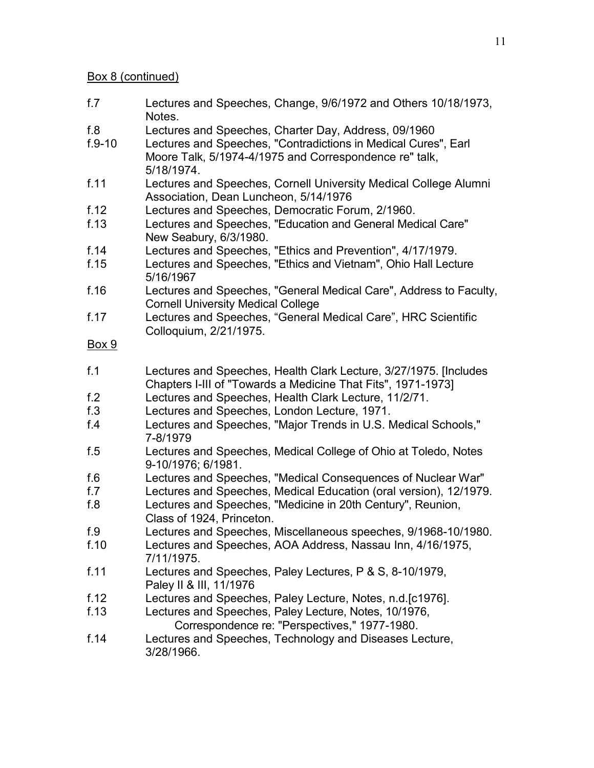#### Box 8 (continued)

- f.7 Lectures and Speeches, Change, 9/6/1972 and Others 10/18/1973, Notes.
- f.8 Lectures and Speeches, Charter Day, Address, 09/1960
- f.9-10 Lectures and Speeches, "Contradictions in Medical Cures", Earl Moore Talk, 5/1974-4/1975 and Correspondence re" talk, 5/18/1974.
- f.11 Lectures and Speeches, Cornell University Medical College Alumni Association, Dean Luncheon, 5/14/1976
- f.12 Lectures and Speeches, Democratic Forum, 2/1960.
- f.13 Lectures and Speeches, "Education and General Medical Care" New Seabury, 6/3/1980.
- f.14 Lectures and Speeches, "Ethics and Prevention", 4/17/1979.
- f.15 Lectures and Speeches, "Ethics and Vietnam", Ohio Hall Lecture 5/16/1967
- f.16 Lectures and Speeches, "General Medical Care", Address to Faculty, Cornell University Medical College
- f.17 Lectures and Speeches, "General Medical Care", HRC Scientific Colloquium, 2/21/1975.

- f.1 Lectures and Speeches, Health Clark Lecture, 3/27/1975. [Includes Chapters I-III of "Towards a Medicine That Fits", 1971-1973]
- f.2 Lectures and Speeches, Health Clark Lecture, 11/2/71.
- f.3 Lectures and Speeches, London Lecture, 1971.
- f.4 Lectures and Speeches, "Major Trends in U.S. Medical Schools," 7-8/1979
- f.5 Lectures and Speeches, Medical College of Ohio at Toledo, Notes 9-10/1976; 6/1981.
- f.6 Lectures and Speeches, "Medical Consequences of Nuclear War"
- Lectures and Speeches, Medical Education (oral version), 12/1979.
- f.8 Lectures and Speeches, "Medicine in 20th Century", Reunion, Class of 1924, Princeton.
- f.9 Lectures and Speeches, Miscellaneous speeches, 9/1968-10/1980.
- f.10 Lectures and Speeches, AOA Address, Nassau Inn, 4/16/1975, 7/11/1975.
- f.11 Lectures and Speeches, Paley Lectures, P & S, 8-10/1979, Paley II & III, 11/1976
- f.12 Lectures and Speeches, Paley Lecture, Notes, n.d.[c1976].
- f.13 Lectures and Speeches, Paley Lecture, Notes, 10/1976, Correspondence re: "Perspectives," 1977-1980.
- f.14 Lectures and Speeches, Technology and Diseases Lecture, 3/28/1966.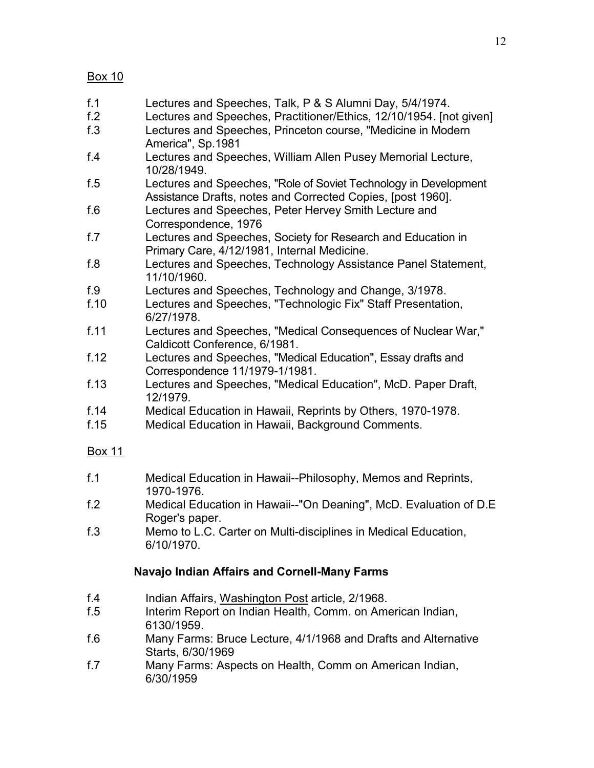- f.1 Lectures and Speeches, Talk, P & S Alumni Day, 5/4/1974.
- f.2 Lectures and Speeches, Practitioner/Ethics, 12/10/1954. [not given]
- f.3 Lectures and Speeches, Princeton course, "Medicine in Modern America", Sp.1981
- f.4 Lectures and Speeches, William Allen Pusey Memorial Lecture, 10/28/1949.
- f.5 Lectures and Speeches, "Role of Soviet Technology in Development Assistance Drafts, notes and Corrected Copies, [post 1960].
- f.6 Lectures and Speeches, Peter Hervey Smith Lecture and Correspondence, 1976
- f.7 Lectures and Speeches, Society for Research and Education in Primary Care, 4/12/1981, Internal Medicine.
- f.8 Lectures and Speeches, Technology Assistance Panel Statement, 11/10/1960.
- f.9 Lectures and Speeches, Technology and Change, 3/1978.
- f.10 Lectures and Speeches, "Technologic Fix" Staff Presentation, 6/27/1978.
- f.11 Lectures and Speeches, "Medical Consequences of Nuclear War," Caldicott Conference, 6/1981.
- f.12 Lectures and Speeches, "Medical Education", Essay drafts and Correspondence 11/1979-1/1981.
- f.13 Lectures and Speeches, "Medical Education", McD. Paper Draft, 12/1979.
- f.14 Medical Education in Hawaii, Reprints by Others, 1970-1978.
- f.15 Medical Education in Hawaii, Background Comments.

#### Box 11

- f.1 Medical Education in Hawaii--Philosophy, Memos and Reprints, 1970-1976.
- f.2 Medical Education in Hawaii--"On Deaning", McD. Evaluation of D.E Roger's paper.
- f.3 Memo to L.C. Carter on Multi-disciplines in Medical Education, 6/10/1970.

## **Navajo Indian Affairs and Cornell-Many Farms**

- f.4 Indian Affairs, Washington Post article, 2/1968.
- f.5 Interim Report on Indian Health, Comm. on American Indian, 6130/1959.
- f.6 Many Farms: Bruce Lecture, 4/1/1968 and Drafts and Alternative Starts, 6/30/1969
- f.7 Many Farms: Aspects on Health, Comm on American Indian, 6/30/1959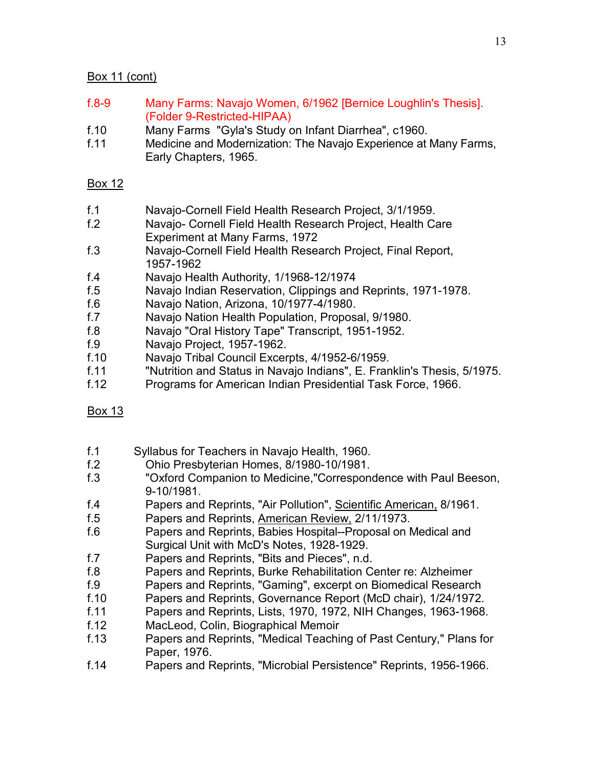# Box 11 (cont)

- f.8-9 Many Farms: Navajo Women, 6/1962 [Bernice Loughlin's Thesis]. (Folder 9-Restricted-HIPAA)
- f.10 Many Farms "Gyla's Study on Infant Diarrhea", c1960.
- f.11 Medicine and Modernization: The Navajo Experience at Many Farms, Early Chapters, 1965.

- f.1 Navajo-Cornell Field Health Research Project, 3/1/1959.
- f.2 Navajo- Cornell Field Health Research Project, Health Care Experiment at Many Farms, 1972
- f.3 Navajo-Cornell Field Health Research Project, Final Report, 1957-1962
- f.4 Navajo Health Authority, 1/1968-12/1974
- f.5 Navajo Indian Reservation, Clippings and Reprints, 1971-1978.
- f.6 Navajo Nation, Arizona, 10/1977-4/1980.
- f.7 Navajo Nation Health Population, Proposal, 9/1980.
- f.8 Navajo "Oral History Tape" Transcript, 1951-1952.
- f.9 Navajo Project, 1957-1962.
- f.10 Navajo Tribal Council Excerpts, 4/1952-6/1959.
- f.11 "Nutrition and Status in Navajo Indians", E. Franklin's Thesis, 5/1975.
- f.12 Programs for American Indian Presidential Task Force, 1966.
- Box 13
- f.1 Syllabus for Teachers in Navajo Health, 1960.
- f.2 Ohio Presbyterian Homes, 8/1980-10/1981.
- f.3 "Oxford Companion to Medicine,"Correspondence with Paul Beeson, 9-10/1981.
- f.4 Papers and Reprints, "Air Pollution", Scientific American, 8/1961.
- f.5 Papers and Reprints, American Review, 2/11/1973.
- f.6 Papers and Reprints, Babies Hospital--Proposal on Medical and Surgical Unit with McD's Notes, 1928-1929.
- f.7 Papers and Reprints, "Bits and Pieces", n.d.
- f.8 Papers and Reprints, Burke Rehabilitation Center re: Alzheimer
- f.9 Papers and Reprints, "Gaming", excerpt on Biomedical Research
- f.10 Papers and Reprints, Governance Report (McD chair), 1/24/1972.
- f.11 Papers and Reprints, Lists, 1970, 1972, NIH Changes, 1963-1968.
- f.12 MacLeod, Colin, Biographical Memoir
- f.13 Papers and Reprints, "Medical Teaching of Past Century," Plans for Paper, 1976.
- f.14 Papers and Reprints, "Microbial Persistence" Reprints, 1956-1966.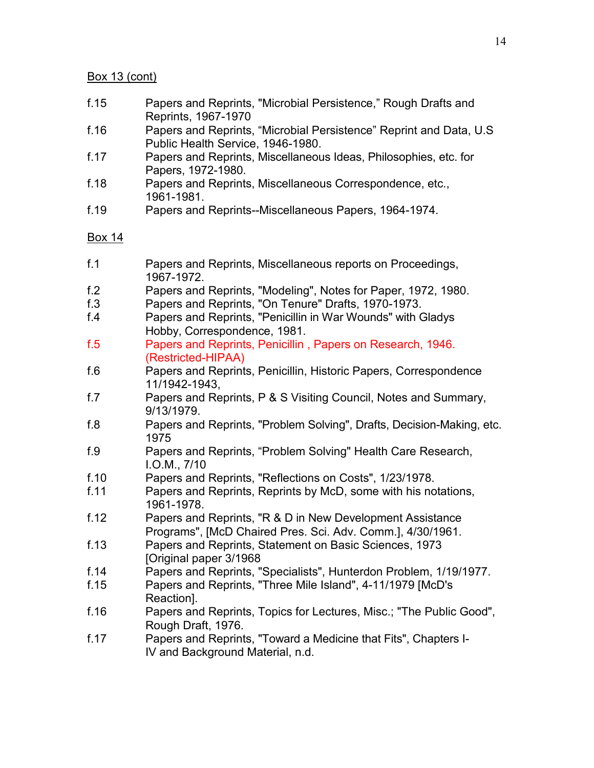#### Box 13 (cont)

- f.15 Papers and Reprints, "Microbial Persistence," Rough Drafts and Reprints, 1967-1970
- f.16 Papers and Reprints, "Microbial Persistence" Reprint and Data, U.S Public Health Service, 1946-1980.
- f.17 Papers and Reprints, Miscellaneous Ideas, Philosophies, etc. for Papers, 1972-1980.
- f.18 Papers and Reprints, Miscellaneous Correspondence, etc., 1961-1981.
- f.19 Papers and Reprints--Miscellaneous Papers, 1964-1974.

- f.1 Papers and Reprints, Miscellaneous reports on Proceedings, 1967-1972.
- f.2 Papers and Reprints, "Modeling", Notes for Paper, 1972, 1980.
- f.3 Papers and Reprints, "On Tenure" Drafts, 1970-1973.
- f.4 Papers and Reprints, "Penicillin in War Wounds" with Gladys Hobby, Correspondence, 1981.
- f.5 Papers and Reprints, Penicillin , Papers on Research, 1946. (Restricted-HIPAA)
- f.6 Papers and Reprints, Penicillin, Historic Papers, Correspondence 11/1942-1943,
- f.7 Papers and Reprints, P & S Visiting Council, Notes and Summary, 9/13/1979.
- f.8 Papers and Reprints, "Problem Solving", Drafts, Decision-Making, etc. 1975
- f.9 Papers and Reprints, "Problem Solving" Health Care Research, I.O.M., 7/10
- f.10 Papers and Reprints, "Reflections on Costs", 1/23/1978.
- f.11 Papers and Reprints, Reprints by McD, some with his notations, 1961-1978.
- f.12 Papers and Reprints, "R & D in New Development Assistance Programs", [McD Chaired Pres. Sci. Adv. Comm.], 4/30/1961.
- f.13 Papers and Reprints, Statement on Basic Sciences, 1973 [Original paper 3/1968
- f.14 Papers and Reprints, "Specialists", Hunterdon Problem, 1/19/1977.
- f.15 Papers and Reprints, "Three Mile Island", 4-11/1979 [McD's Reaction].
- f.16 Papers and Reprints, Topics for Lectures, Misc.; "The Public Good", Rough Draft, 1976.
- f.17 Papers and Reprints, "Toward a Medicine that Fits", Chapters I-IV and Background Material, n.d.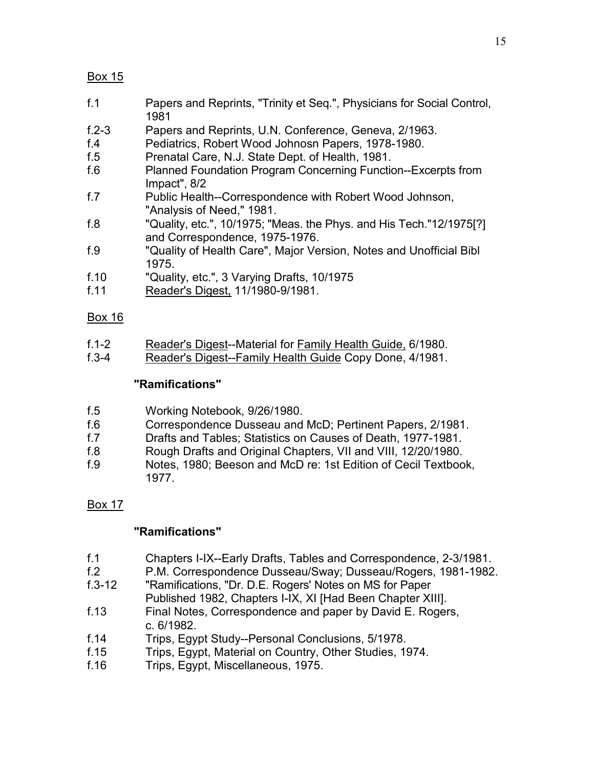- f.1 Papers and Reprints, "Trinity et Seq.", Physicians for Social Control, 1981
- f.2-3 Papers and Reprints, U.N. Conference, Geneva, 2/1963.
- f.4 Pediatrics, Robert Wood Johnosn Papers, 1978-1980.
- f.5 Prenatal Care, N.J. State Dept. of Health, 1981.
- f.6 Planned Foundation Program Concerning Function--Excerpts from Impact", 8/2
- f.7 Public Health--Correspondence with Robert Wood Johnson, "Analysis of Need," 1981.
- f.8 "Quality, etc.", 10/1975; "Meas. the Phys. and His Tech."12/1975[?] and Correspondence, 1975-1976.
- f.9 "Quality of Health Care", Major Version, Notes and Unofficial Bibl 1975.
- f.10 "Quality, etc.", 3 Varying Drafts, 10/1975
- f.11 Reader's Digest, 11/1980-9/1981.

## Box 16

- f.1-2 Reader's Digest--Material for Family Health Guide, 6/1980.
- f.3-4 Reader's Digest--Family Health Guide Copy Done, 4/1981.

## **"Ramifications"**

| f.5 | Working Notebook, 9/26/1980. |
|-----|------------------------------|
|-----|------------------------------|

- f.6 Correspondence Dusseau and McD; Pertinent Papers, 2/1981.
- f.7 Drafts and Tables; Statistics on Causes of Death, 1977-1981.
- f.8 Rough Drafts and Original Chapters, VII and VIII, 12/20/1980.
- f.9 Notes, 1980; Beeson and McD re: 1st Edition of Cecil Textbook, 1977.

## Box 17

## **"Ramifications"**

- f.1 Chapters I-IX--Early Drafts, Tables and Correspondence, 2-3/1981.
- f.2 P.M. Correspondence Dusseau/Sway; Dusseau/Rogers, 1981-1982.
- f.3-12 "Ramifications, "Dr. D.E. Rogers' Notes on MS for Paper Published 1982, Chapters I-IX, XI [Had Been Chapter XIII].
- f.13 Final Notes, Correspondence and paper by David E. Rogers, c. 6/1982.
- f.14 Trips, Egypt Study--Personal Conclusions, 5/1978.
- f.15 Trips, Egypt, Material on Country, Other Studies, 1974.
- f.16 Trips, Egypt, Miscellaneous, 1975.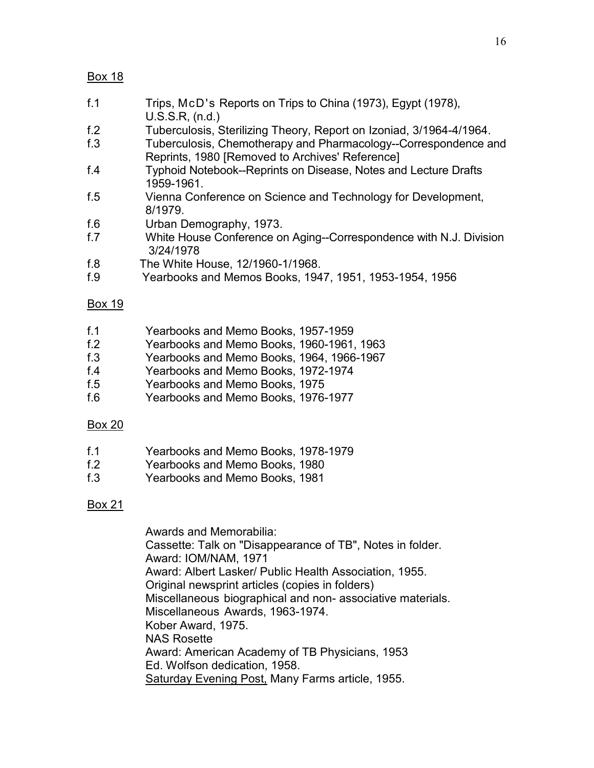- f.1 Trips, McD's Reports on Trips to China (1973), Egypt (1978), U.S.S.R, (n.d.)
- f.2 Tuberculosis, Sterilizing Theory, Report on Izoniad, 3/1964-4/1964.
- f.3 Tuberculosis, Chemotherapy and Pharmacology--Correspondence and Reprints, 1980 [Removed to Archives' Reference]
- f.4 Typhoid Notebook--Reprints on Disease, Notes and Lecture Drafts 1959-1961.
- f.5 Vienna Conference on Science and Technology for Development, 8/1979.
- f.6 Urban Demography, 1973.
- f.7 White House Conference on Aging--Correspondence with N.J. Division 3/24/1978
- f.8 The White House, 12/1960-1/1968.
- f.9 Yearbooks and Memos Books, 1947, 1951, 1953-1954, 1956

#### Box 19

- f.1 Yearbooks and Memo Books, 1957-1959
- f.2 Yearbooks and Memo Books, 1960-1961, 1963
- f.3 Yearbooks and Memo Books, 1964, 1966-1967
- f.4 Yearbooks and Memo Books, 1972-1974
- f.5 Yearbooks and Memo Books, 1975
- f.6 Yearbooks and Memo Books, 1976-1977

#### Box 20

- f.1 Yearbooks and Memo Books, 1978-1979
- f.2 Yearbooks and Memo Books, 1980
- f.3 Yearbooks and Memo Books, 1981

## Box 21

Awards and Memorabilia: Cassette: Talk on "Disappearance of TB", Notes in folder. Award: IOM/NAM, 1971 Award: Albert Lasker/ Public Health Association, 1955. Original newsprint articles (copies in folders) Miscellaneous biographical and non- associative materials. Miscellaneous Awards, 1963-1974. Kober Award, 1975. NAS Rosette Award: American Academy of TB Physicians, 1953 Ed. Wolfson dedication, 1958. Saturday Evening Post, Many Farms article, 1955.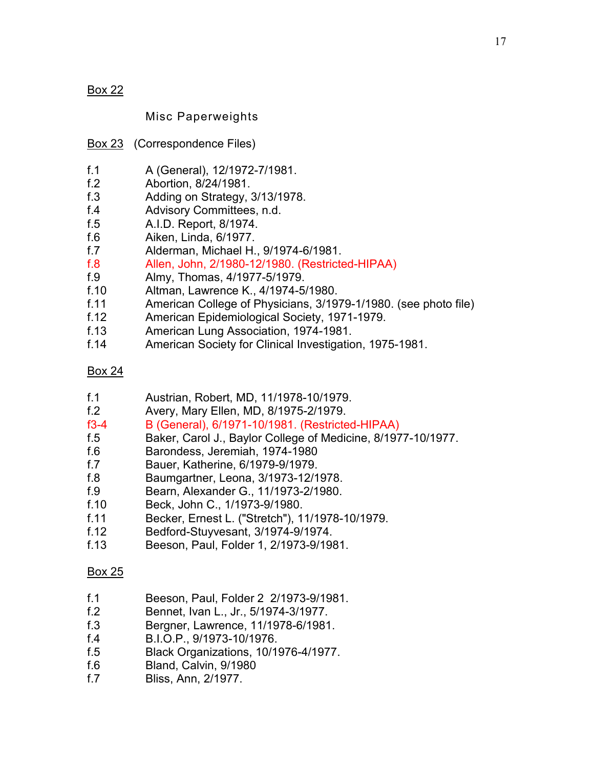Misc Paperweights

- Box 23 (Correspondence Files)
- f.1 A (General), 12/1972-7/1981.
- f.2 Abortion, 8/24/1981.
- f.3 Adding on Strategy, 3/13/1978.
- f.4 Advisory Committees, n.d.
- f.5 A.I.D. Report, 8/1974.
- f.6 Aiken, Linda, 6/1977.
- f.7 Alderman, Michael H., 9/1974-6/1981.
- f.8 Allen, John, 2/1980-12/1980. (Restricted-HIPAA)
- f.9 Almy, Thomas, 4/1977-5/1979.
- f.10 Altman, Lawrence K., 4/1974-5/1980.
- f.11 American College of Physicians, 3/1979-1/1980. (see photo file)
- f.12 American Epidemiological Society, 1971-1979.
- f.13 American Lung Association, 1974-1981.
- f.14 American Society for Clinical Investigation, 1975-1981.

#### Box 24

- f.1 Austrian, Robert, MD, 11/1978-10/1979.
- f.2 Avery, Mary Ellen, MD, 8/1975-2/1979.<br>f3-4 B (General). 6/1971-10/1981. (Restricte
- B (General), 6/1971-10/1981. (Restricted-HIPAA)
- f.5 Baker, Carol J., Baylor College of Medicine, 8/1977-10/1977.
- f.6 Barondess, Jeremiah, 1974-1980
- f.7 Bauer, Katherine, 6/1979-9/1979.
- f.8 Baumgartner, Leona, 3/1973-12/1978.
- f.9 Bearn, Alexander G., 11/1973-2/1980.
- f.10 Beck, John C., 1/1973-9/1980.
- f.11 Becker, Ernest L. ("Stretch"), 11/1978-10/1979.
- f.12 Bedford-Stuyvesant, 3/1974-9/1974.
- f.13 Beeson, Paul, Folder 1, 2/1973-9/1981.

- f.1 Beeson, Paul, Folder 2 2/1973-9/1981.
- f.2 Bennet, Ivan L., Jr., 5/1974-3/1977.
- f.3 Bergner, Lawrence, 11/1978-6/1981.
- f.4 B.I.O.P., 9/1973-10/1976.
- f.5 Black Organizations, 10/1976-4/1977.
- f.6 Bland, Calvin, 9/1980
- f.7 Bliss, Ann, 2/1977.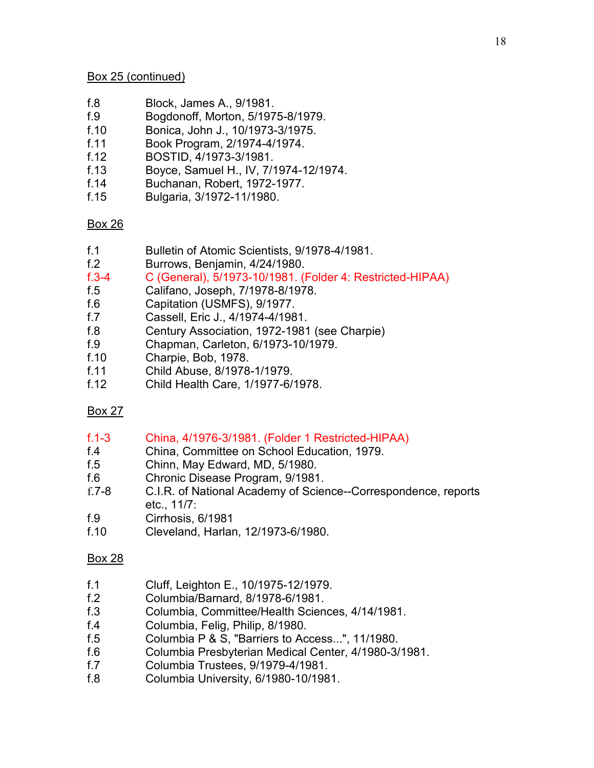### Box 25 (continued)

- f.8 Block, James A., 9/1981.
- f.9 Bogdonoff, Morton, 5/1975-8/1979.
- f.10 Bonica, John J., 10/1973-3/1975.
- f.11 Book Program, 2/1974-4/1974.
- f.12 BOSTID, 4/1973-3/1981.
- f.13 Boyce, Samuel H., IV, 7/1974-12/1974.
- f.14 Buchanan, Robert, 1972-1977.
- f.15 Bulgaria, 3/1972-11/1980.

## Box 26

- f.1 Bulletin of Atomic Scientists, 9/1978-4/1981.
- f.2 Burrows, Benjamin, 4/24/1980.
- f.3-4 C (General), 5/1973-10/1981. (Folder 4: Restricted-HIPAA)
- f.5 Califano, Joseph, 7/1978-8/1978.
- f.6 Capitation (USMFS), 9/1977.
- f.7 Cassell, Eric J., 4/1974-4/1981.
- f.8 Century Association, 1972-1981 (see Charpie)
- f.9 Chapman, Carleton, 6/1973-10/1979.
- f.10 Charpie, Bob, 1978.
- f.11 Child Abuse, 8/1978-1/1979.
- f.12 Child Health Care, 1/1977-6/1978.

## Box 27

#### f.1-3 China, 4/1976-3/1981. (Folder 1 Restricted-HIPAA)

- f.4 China, Committee on School Education, 1979.
- f.5 Chinn, May Edward, MD, 5/1980.
- f.6 Chronic Disease Program, 9/1981.
- f.7-8 C.I.R. of National Academy of Science--Correspondence, reports etc., 11/7:
- f.9 Cirrhosis, 6/1981
- f.10 Cleveland, Harlan, 12/1973-6/1980.

- f.1 Cluff, Leighton E., 10/1975-12/1979.
- f.2 Columbia/Barnard, 8/1978-6/1981.
- f.3 Columbia, Committee/Health Sciences, 4/14/1981.
- f.4 Columbia, Felig, Philip, 8/1980.
- f.5 Columbia P & S, "Barriers to Access...", 11/1980.
- f.6 Columbia Presbyterian Medical Center, 4/1980-3/1981.
- f.7 Columbia Trustees, 9/1979-4/1981.
- f.8 Columbia University, 6/1980-10/1981.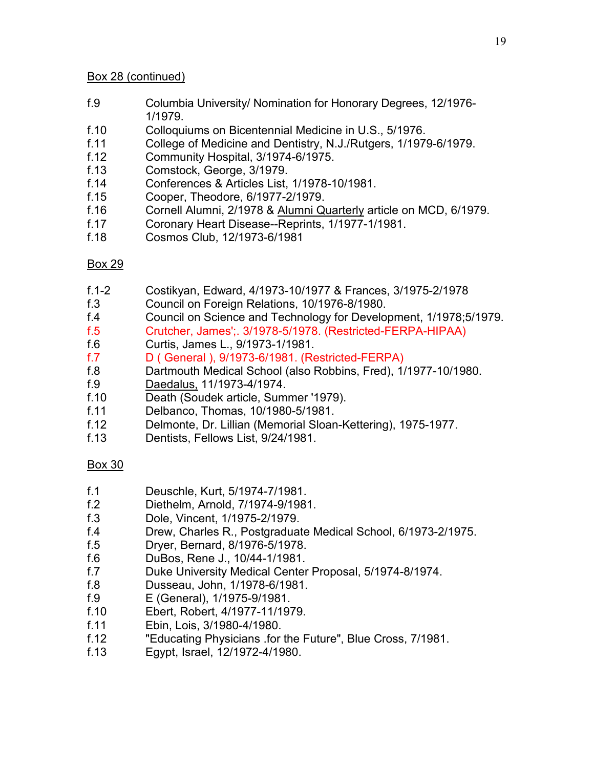### Box 28 (continued)

- f.9 Columbia University/ Nomination for Honorary Degrees, 12/1976- 1/1979.
- f.10 Colloquiums on Bicentennial Medicine in U.S., 5/1976.
- f.11 College of Medicine and Dentistry, N.J./Rutgers, 1/1979-6/1979.
- f.12 Community Hospital, 3/1974-6/1975.
- f.13 Comstock, George, 3/1979.
- f.14 Conferences & Articles List, 1/1978-10/1981.
- f.15 Cooper, Theodore, 6/1977-2/1979.
- f.16 Cornell Alumni, 2/1978 & Alumni Quarterly article on MCD, 6/1979.
- f.17 Coronary Heart Disease--Reprints, 1/1977-1/1981.
- f.18 Cosmos Club, 12/1973-6/1981

## Box 29

- f.1-2 Costikyan, Edward, 4/1973-10/1977 & Frances, 3/1975-2/1978
- f.3 Council on Foreign Relations, 10/1976-8/1980.
- f.4 Council on Science and Technology for Development, 1/1978;5/1979.
- f.5 Crutcher, James';. 3/1978-5/1978. (Restricted-FERPA-HIPAA)
- f.6 Curtis, James L., 9/1973-1/1981.
- f.7 D ( General ), 9/1973-6/1981. (Restricted-FERPA)
- f.8 Dartmouth Medical School (also Robbins, Fred), 1/1977-10/1980.
- f.9 Daedalus, 11/1973-4/1974.
- f.10 Death (Soudek article, Summer '1979).
- f.11 Delbanco, Thomas, 10/1980-5/1981.
- f.12 Delmonte, Dr. Lillian (Memorial Sloan-Kettering), 1975-1977.
- f.13 Dentists, Fellows List, 9/24/1981.

- f.1 Deuschle, Kurt, 5/1974-7/1981.
- f.2 Diethelm, Arnold, 7/1974-9/1981.
- f.3 Dole, Vincent, 1/1975-2/1979.
- f.4 Drew, Charles R., Postgraduate Medical School, 6/1973-2/1975.
- f.5 Dryer, Bernard, 8/1976-5/1978.
- f.6 DuBos, Rene J., 10/44-1/1981.
- f.7 Duke University Medical Center Proposal, 5/1974-8/1974.
- f.8 Dusseau, John, 1/1978-6/1981.
- 
- f.9 E (General), 1/1975-9/1981. f.10 Ebert, Robert, 4/1977-11/1979.
- f.11 Ebin, Lois, 3/1980-4/1980.
- f.12 "Educating Physicians .for the Future", Blue Cross, 7/1981.<br>f.13 Egypt, Israel, 12/1972-4/1980.
- f.13 Egypt, Israel, 12/1972-4/1980.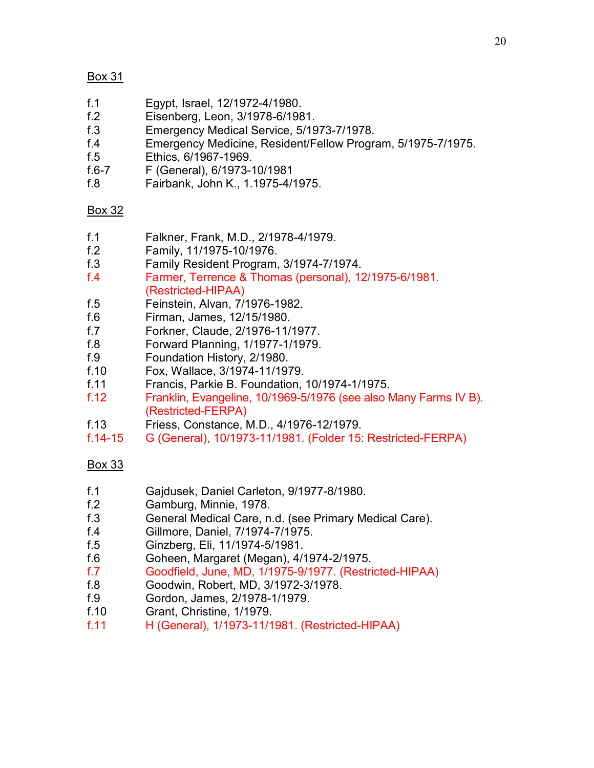- f.1 Egypt, Israel, 12/1972-4/1980.
- f.2 Eisenberg, Leon, 3/1978-6/1981.
- f.3 Emergency Medical Service, 5/1973-7/1978.
- f.4 Emergency Medicine, Resident/Fellow Program, 5/1975-7/1975.
- f.5 Ethics, 6/1967-1969.
- f.6-7 F (General), 6/1973-10/1981
- f.8 Fairbank, John K., 1.1975-4/1975.

# Box 32

- f.1 Falkner, Frank, M.D., 2/1978-4/1979.
- f.2 Family, 11/1975-10/1976.
- f.3 Family Resident Program, 3/1974-7/1974.
- f.4 Farmer, Terrence & Thomas (personal), 12/1975-6/1981. (Restricted-HIPAA)
- f.5 Feinstein, Alvan, 7/1976-1982.
- f.6 Firman, James, 12/15/1980.
- f.7 Forkner, Claude, 2/1976-11/1977.
- f.8 Forward Planning, 1/1977-1/1979.
- f.9 Foundation History, 2/1980.
- f.10 Fox, Wallace, 3/1974-11/1979.
- f.11 Francis, Parkie B. Foundation, 10/1974-1/1975.
- f.12 Franklin, Evangeline, 10/1969-5/1976 (see also Many Farms IV B). (Restricted-FERPA)
- f.13 Friess, Constance, M.D., 4/1976-12/1979.
- f.14-15 G (General), 10/1973-11/1981. (Folder 15: Restricted-FERPA)

- f.1 Gajdusek, Daniel Carleton, 9/1977-8/1980.
- f.2 Gamburg, Minnie, 1978.
- f.3 General Medical Care, n.d. (see Primary Medical Care).
- f.4 Gillmore, Daniel, 7/1974-7/1975.
- f.5 Ginzberg, Eli, 11/1974-5/1981.
- f.6 Goheen, Margaret (Megan), 4/1974-2/1975.
- f.7 Goodfield, June, MD, 1/1975-9/1977. (Restricted-HIPAA)
- f.8 Goodwin, Robert, MD, 3/1972-3/1978.
- f.9 Gordon, James, 2/1978-1/1979.
- f.10 Grant, Christine, 1/1979.
- f.11 H (General), 1/1973-11/1981. (Restricted-HIPAA)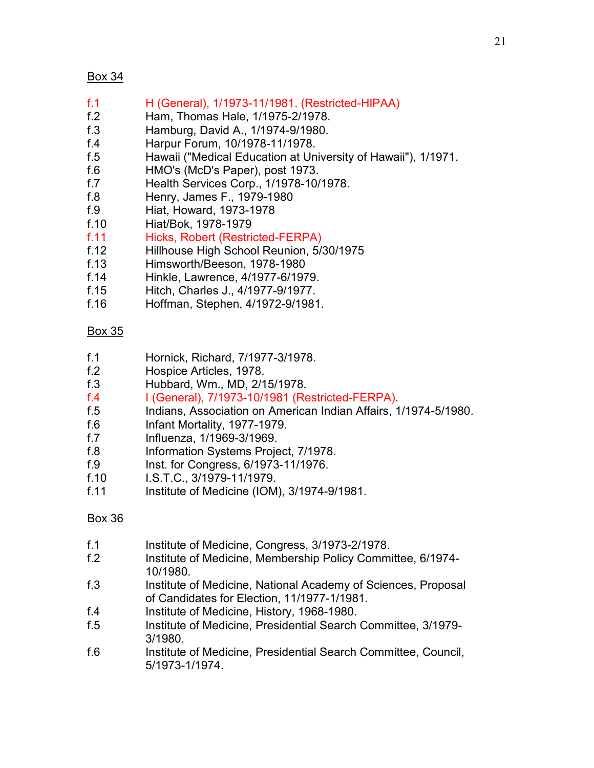- f.1 H (General), 1/1973-11/1981. (Restricted-HIPAA)
- f.2 Ham, Thomas Hale, 1/1975-2/1978.
- f.3 Hamburg, David A., 1/1974-9/1980.
- f.4 Harpur Forum, 10/1978-11/1978.
- f.5 Hawaii ("Medical Education at University of Hawaii"), 1/1971.
- f.6 HMO's (McD's Paper), post 1973.
- f.7 Health Services Corp., 1/1978-10/1978.
- f.8 Henry, James F., 1979-1980
- f.9 Hiat, Howard, 1973-1978
- f.10 Hiat/Bok, 1978-1979
- f.11 Hicks, Robert (Restricted-FERPA)
- f.12 Hillhouse High School Reunion, 5/30/1975
- f.13 Himsworth/Beeson, 1978-1980
- f.14 Hinkle, Lawrence, 4/1977-6/1979.
- f.15 Hitch, Charles J., 4/1977-9/1977.
- f.16 Hoffman, Stephen, 4/1972-9/1981.

## Box 35

- f.1 Hornick, Richard, 7/1977-3/1978.
- f.2 Hospice Articles, 1978.
- f.3 Hubbard, Wm., MD, 2/15/1978.
- f.4 I (General), 7/1973-10/1981 (Restricted-FERPA).
- f.5 Indians, Association on American Indian Affairs, 1/1974-5/1980.
- f.6 Infant Mortality, 1977-1979.
- f.7 Influenza, 1/1969-3/1969.
- f.8 Information Systems Project, 7/1978.
- f.9 Inst. for Congress, 6/1973-11/1976.
- f.10 I.S.T.C., 3/1979-11/1979.
- f.11 Institute of Medicine (IOM),  $3/1974-9/1981$ .

- f.1 Institute of Medicine, Congress, 3/1973-2/1978.
- f.2 Institute of Medicine, Membership Policy Committee, 6/1974-10/1980.
- f.3 Institute of Medicine, National Academy of Sciences, Proposal of Candidates for Election, 11/1977-1/1981.
- f.4 Institute of Medicine, History, 1968-1980.
- f.5 Institute of Medicine, Presidential Search Committee, 3/1979- 3/1980.
- f.6 Institute of Medicine, Presidential Search Committee, Council, 5/1973-1/1974.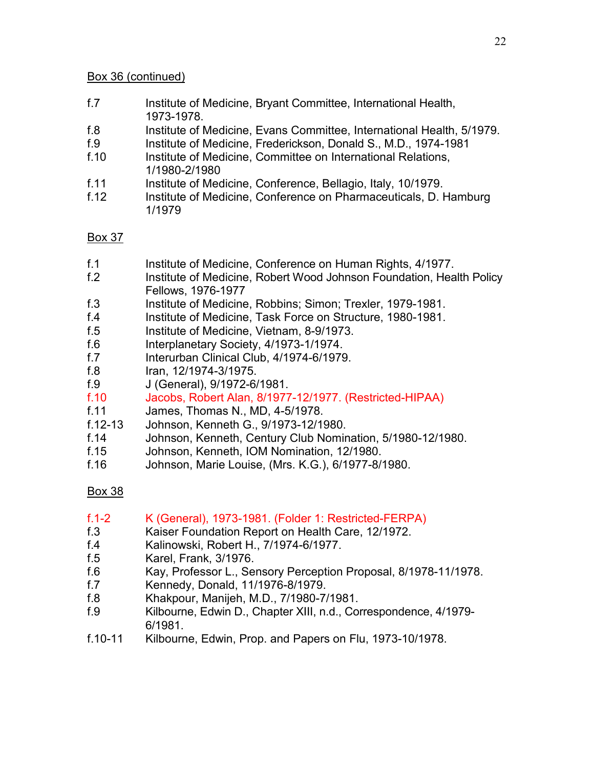#### Box 36 (continued)

- f.7 Institute of Medicine, Bryant Committee, International Health, 1973-1978.
- f.8 Institute of Medicine, Evans Committee, International Health, 5/1979.
- f.9 Institute of Medicine, Frederickson, Donald S., M.D., 1974-1981
- f.10 Institute of Medicine, Committee on International Relations, 1/1980-2/1980
- f.11 Institute of Medicine, Conference, Bellagio, Italy, 10/1979.
- f.12 Institute of Medicine, Conference on Pharmaceuticals, D. Hamburg 1/1979

## Box 37

- f.1 Institute of Medicine, Conference on Human Rights, 4/1977.
- f.2 Institute of Medicine, Robert Wood Johnson Foundation, Health Policy Fellows, 1976-1977
- f.3 Institute of Medicine, Robbins; Simon; Trexler, 1979-1981.
- f.4 Institute of Medicine, Task Force on Structure, 1980-1981.
- f.5 Institute of Medicine, Vietnam, 8-9/1973.
- f.6 Interplanetary Society, 4/1973-1/1974.
- f.7 Interurban Clinical Club, 4/1974-6/1979.
- f.8 Iran, 12/1974-3/1975.
- f.9 J (General), 9/1972-6/1981.
- f.10 Jacobs, Robert Alan, 8/1977-12/1977. (Restricted-HIPAA)
- f.11 James, Thomas N., MD, 4-5/1978.
- f.12-13 Johnson, Kenneth G., 9/1973-12/1980.
- f.14 Johnson, Kenneth, Century Club Nomination, 5/1980-12/1980.
- f.15 Johnson, Kenneth, IOM Nomination, 12/1980.
- f.16 Johnson, Marie Louise, (Mrs. K.G.), 6/1977-8/1980.

- f.1-2 K (General), 1973-1981. (Folder 1: Restricted-FERPA)
- f.3 Kaiser Foundation Report on Health Care, 12/1972.
- f.4 Kalinowski, Robert H., 7/1974-6/1977.
- f.5 Karel, Frank, 3/1976.
- f.6 Kay, Professor L., Sensory Perception Proposal, 8/1978-11/1978.
- f.7 Kennedy, Donald, 11/1976-8/1979.
- f.8 Khakpour, Manijeh, M.D., 7/1980-7/1981.
- f.9 Kilbourne, Edwin D., Chapter XIII, n.d., Correspondence, 4/1979- 6/1981.
- f.10-11 Kilbourne, Edwin, Prop. and Papers on Flu, 1973-10/1978.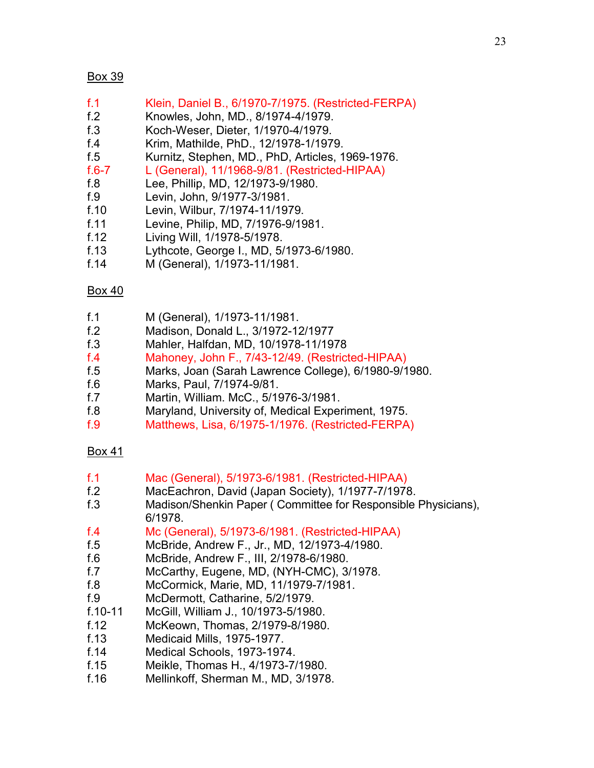- f.1 Klein, Daniel B., 6/1970-7/1975. (Restricted-FERPA)
- f.2 Knowles, John, MD., 8/1974-4/1979.
- f.3 Koch-Weser, Dieter, 1/1970-4/1979.
- f.4 Krim, Mathilde, PhD., 12/1978-1/1979.
- f.5 Kurnitz, Stephen, MD., PhD, Articles, 1969-1976.

f.6-7 L (General), 11/1968-9/81. (Restricted-HIPAA)

- f.8 Lee, Phillip, MD, 12/1973-9/1980.
- f.9 Levin, John, 9/1977-3/1981.
- f.10 Levin, Wilbur, 7/1974-11/1979.
- f.11 Levine, Philip, MD, 7/1976-9/1981.
- f.12 Living Will, 1/1978-5/1978.
- f.13 Lythcote, George I., MD, 5/1973-6/1980.
- f.14 M (General), 1/1973-11/1981.

## Box 40

- f.1 M (General), 1/1973-11/1981.
- f.2 Madison, Donald L., 3/1972-12/1977
- f.3 Mahler, Halfdan, MD, 10/1978-11/1978
- f.4 Mahoney, John F., 7/43-12/49. (Restricted-HIPAA)
- f.5 Marks, Joan (Sarah Lawrence College), 6/1980-9/1980.
- f.6 Marks, Paul, 7/1974-9/81.
- f.7 Martin, William. McC., 5/1976-3/1981.
- f.8 Maryland, University of, Medical Experiment, 1975.
- f.9 Matthews, Lisa, 6/1975-1/1976. (Restricted-FERPA)

- f.1 Mac (General), 5/1973-6/1981. (Restricted-HIPAA)
- f.2 MacEachron, David (Japan Society), 1/1977-7/1978.
- f.3 Madison/Shenkin Paper ( Committee for Responsible Physicians), 6/1978.
- f.4 Mc (General), 5/1973-6/1981. (Restricted-HIPAA)
- f.5 McBride, Andrew F., Jr., MD, 12/1973-4/1980.
- f.6 McBride, Andrew F., III, 2/1978-6/1980.
- f.7 McCarthy, Eugene, MD, (NYH-CMC), 3/1978.
- f.8 McCormick, Marie, MD, 11/1979-7/1981.
- f.9 McDermott, Catharine, 5/2/1979.
- f.10-11 McGill, William J., 10/1973-5/1980.
- f.12 McKeown, Thomas, 2/1979-8/1980.
- 
- f.13 Medicaid Mills, 1975-1977. Medical Schools, 1973-1974.
- f.15 Meikle, Thomas H., 4/1973-7/1980.
- f.16 Mellinkoff, Sherman M., MD, 3/1978.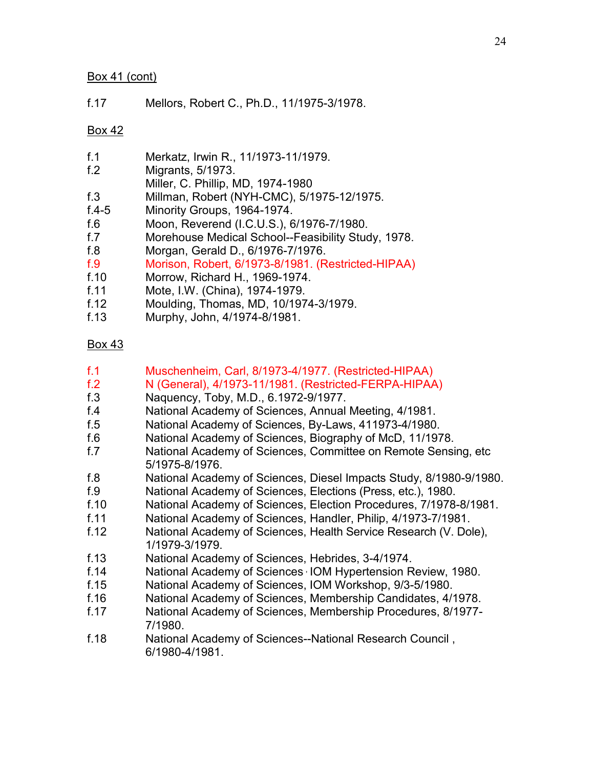#### Box 41 (cont)

f.17 Mellors, Robert C., Ph.D., 11/1975-3/1978.

## Box 42

| f.1             |                                                    |  |
|-----------------|----------------------------------------------------|--|
|                 | Merkatz, Irwin R., 11/1973-11/1979.                |  |
| f <sub>12</sub> | Migrants, 5/1973.                                  |  |
|                 | Miller, C. Phillip, MD, 1974-1980                  |  |
| f.3             | Millman, Robert (NYH-CMC), 5/1975-12/1975.         |  |
| $f.4 - 5$       | Minority Groups, 1964-1974.                        |  |
| f.6             | Moon, Reverend (I.C.U.S.), 6/1976-7/1980.          |  |
| f.7             | Morehouse Medical School--Feasibility Study, 1978. |  |
| f.8             | Morgan, Gerald D., 6/1976-7/1976.                  |  |
| f.9             | Morison, Robert, 6/1973-8/1981. (Restricted-HIPAA) |  |
| f.10            | Morrow, Richard H., 1969-1974.                     |  |
| f.11            | Mote, I.W. (China), 1974-1979.                     |  |
| f.12            | Moulding, Thomas, MD, 10/1974-3/1979.              |  |

f.13 Murphy, John, 4/1974-8/1981.

- f.1 Muschenheim, Carl, 8/1973-4/1977. (Restricted-HIPAA)
- f.2 N (General), 4/1973-11/1981. (Restricted-FERPA-HIPAA)
- f.3 Naquency, Toby, M.D., 6.1972-9/1977.
- f.4 National Academy of Sciences, Annual Meeting, 4/1981.
- f.5 National Academy of Sciences, By-Laws, 411973-4/1980.
- f.6 National Academy of Sciences, Biography of McD, 11/1978.
- f.7 National Academy of Sciences, Committee on Remote Sensing, etc 5/1975-8/1976.
- f.8 National Academy of Sciences, Diesel Impacts Study, 8/1980-9/1980.
- f.9 National Academy of Sciences, Elections (Press, etc.), 1980.
- f.10 National Academy of Sciences, Election Procedures, 7/1978-8/1981.
- f.11 National Academy of Sciences, Handler, Philip, 4/1973-7/1981.
- f.12 National Academy of Sciences, Health Service Research (V. Dole), 1/1979-3/1979.
- f.13 National Academy of Sciences, Hebrides, 3-4/1974.
- f.14 National Academy of Sciences , IOM Hypertension Review, 1980.
- f.15 National Academy of Sciences, IOM Workshop, 9/3-5/1980.
- f.16 National Academy of Sciences, Membership Candidates, 4/1978.
- f.17 National Academy of Sciences, Membership Procedures, 8/1977- 7/1980.
- f.18 National Academy of Sciences--National Research Council , 6/1980-4/1981.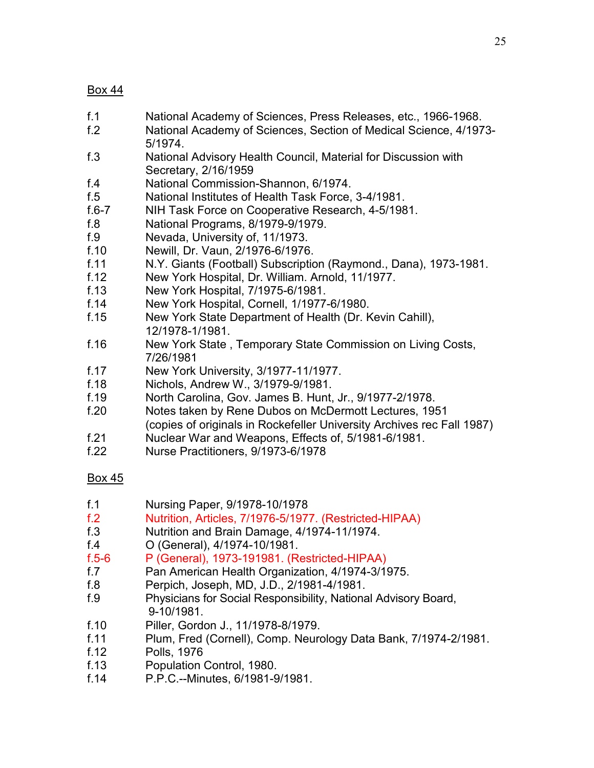- f.1 National Academy of Sciences, Press Releases, etc., 1966-1968.
- f.2 National Academy of Sciences, Section of Medical Science, 4/1973- 5/1974.
- f.3 National Advisory Health Council, Material for Discussion with Secretary, 2/16/1959
- f.4 National Commission-Shannon, 6/1974.
- f.5 National Institutes of Health Task Force, 3-4/1981.
- NIH Task Force on Cooperative Research, 4-5/1981.
- f.8 National Programs, 8/1979-9/1979.
- f.9 Nevada, University of, 11/1973.
- f.10 Newill, Dr. Vaun, 2/1976-6/1976.
- f.11 N.Y. Giants (Football) Subscription (Raymond., Dana), 1973-1981.
- f.12 New York Hospital, Dr. William. Arnold, 11/1977.
- f.13 New York Hospital, 7/1975-6/1981.
- f.14 New York Hospital, Cornell, 1/1977-6/1980.
- f.15 New York State Department of Health (Dr. Kevin Cahill), 12/1978-1/1981.
- f.16 New York State , Temporary State Commission on Living Costs, 7/26/1981
- f.17 New York University, 3/1977-11/1977.
- f.18 Nichols, Andrew W., 3/1979-9/1981.
- f.19 North Carolina, Gov. James B. Hunt, Jr., 9/1977-2/1978.
- f.20 Notes taken by Rene Dubos on McDermott Lectures, 1951 (copies of originals in Rockefeller University Archives rec Fall 1987)
- f.21 Nuclear War and Weapons, Effects of, 5/1981-6/1981.
- f.22 Nurse Practitioners, 9/1973-6/1978

- f.1 Nursing Paper, 9/1978-10/1978
- f.2 Nutrition, Articles, 7/1976-5/1977. (Restricted-HIPAA)
- f.3 Nutrition and Brain Damage, 4/1974-11/1974.
- f.4 O (General), 4/1974-10/1981.
- f.5-6 P (General), 1973-191981. (Restricted-HIPAA)
- f.7 Pan American Health Organization, 4/1974-3/1975.
- f.8 Perpich, Joseph, MD, J.D., 2/1981-4/1981.
- f.9 Physicians for Social Responsibility, National Advisory Board, 9-10/1981.
- f.10 Piller, Gordon J., 11/1978-8/1979.
- f.11 Plum, Fred (Cornell), Comp. Neurology Data Bank, 7/1974-2/1981.
- f.12 Polls, 1976
- f.13 Population Control, 1980.
- f.14 P.P.C.--Minutes, 6/1981-9/1981.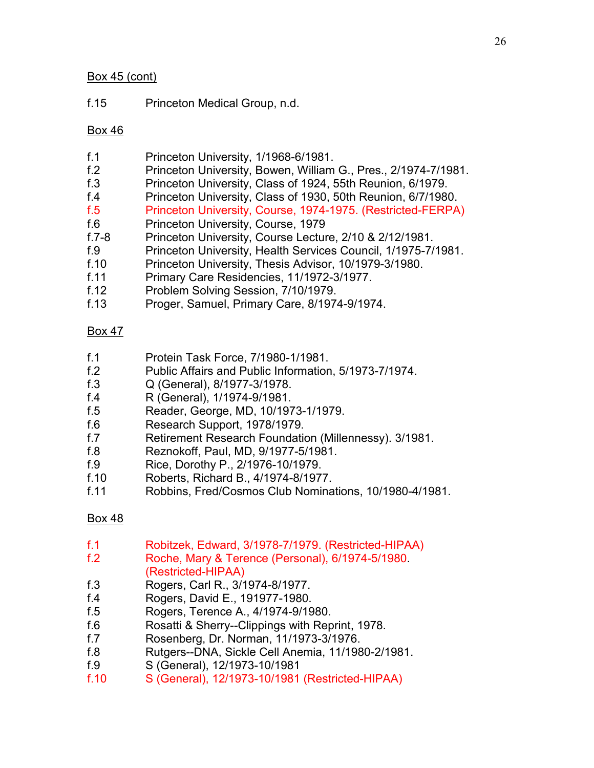## Box 45 (cont)

f.15 Princeton Medical Group, n.d.

# Box 46

- f.1 Princeton University, 1/1968-6/1981.
- f.2 Princeton University, Bowen, William G., Pres., 2/1974-7/1981.
- f.3 Princeton University, Class of 1924, 55th Reunion, 6/1979.
- f.4 Princeton University, Class of 1930, 50th Reunion, 6/7/1980.
- f.5 Princeton University, Course, 1974-1975. (Restricted-FERPA)
- f.6 Princeton University, Course, 1979
- f.7-8 Princeton University, Course Lecture, 2/10 & 2/12/1981.
- f.9 Princeton University, Health Services Council, 1/1975-7/1981.
- f.10 Princeton University, Thesis Advisor, 10/1979-3/1980.
- f.11 Primary Care Residencies, 11/1972-3/1977.
- f.12 Problem Solving Session, 7/10/1979.
- f.13 Proger, Samuel, Primary Care, 8/1974-9/1974.

# Box 47

- f.1 Protein Task Force, 7/1980-1/1981.
- f.2 Public Affairs and Public Information, 5/1973-7/1974.
- f.3 Q (General), 8/1977-3/1978.
- f.4 R (General), 1/1974-9/1981.
- f.5 Reader, George, MD, 10/1973-1/1979.
- f.6 Research Support, 1978/1979.
- f.7 Retirement Research Foundation (Millennessy). 3/1981.
- f.8 Reznokoff, Paul, MD, 9/1977-5/1981.
- f.9 Rice, Dorothy P., 2/1976-10/1979.
- f.10 Roberts, Richard B., 4/1974-8/1977.
- f.11 Robbins, Fred/Cosmos Club Nominations, 10/1980-4/1981.

- f.1 Robitzek, Edward, 3/1978-7/1979. (Restricted-HIPAA)
- f.2 Roche, Mary & Terence (Personal), 6/1974-5/1980. (Restricted-HIPAA)
- f.3 Rogers, Carl R., 3/1974-8/1977.
- f.4 Rogers, David E., 191977-1980.
- f.5 Rogers, Terence A., 4/1974-9/1980.
- f.6 Rosatti & Sherry--Clippings with Reprint, 1978.
- f.7 Rosenberg, Dr. Norman, 11/1973-3/1976.
- f.8 Rutgers--DNA, Sickle Cell Anemia, 11/1980-2/1981.
- f.9 S (General), 12/1973-10/1981
- f.10 S (General), 12/1973-10/1981 (Restricted-HIPAA)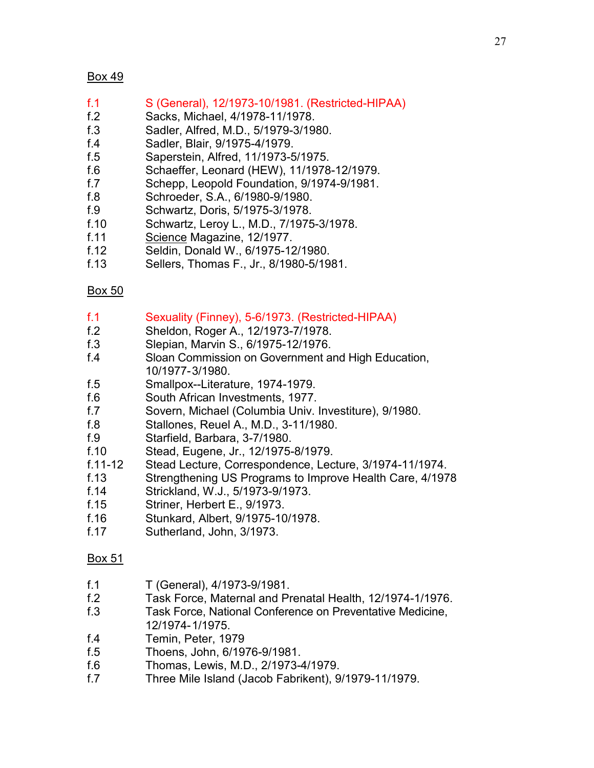- f.1 S (General), 12/1973-10/1981. (Restricted-HIPAA)
- f.2 Sacks, Michael, 4/1978-11/1978.
- f.3 Sadler, Alfred, M.D., 5/1979-3/1980.
- f.4 Sadler, Blair, 9/1975-4/1979.
- f.5 Saperstein, Alfred, 11/1973-5/1975.
- f.6 Schaeffer, Leonard (HEW), 11/1978-12/1979.
- f.7 Schepp, Leopold Foundation, 9/1974-9/1981.
- f.8 Schroeder, S.A., 6/1980-9/1980.
- f.9 Schwartz, Doris, 5/1975-3/1978.
- f.10 Schwartz, Leroy L., M.D., 7/1975-3/1978.
- f.11 Science Magazine, 12/1977.
- f.12 Seldin, Donald W., 6/1975-12/1980.
- f.13 Sellers, Thomas F., Jr., 8/1980-5/1981.

## Box 50

- f.1 Sexuality (Finney), 5-6/1973. (Restricted-HIPAA)
- f.2 Sheldon, Roger A., 12/1973-7/1978.
- f.3 Slepian, Marvin S., 6/1975-12/1976.
- f.4 Sloan Commission on Government and High Education, 10/1977-3/1980.
- f.5 Smallpox--Literature, 1974-1979.
- f.6 South African Investments, 1977.
- f.7 Sovern, Michael (Columbia Univ. Investiture), 9/1980.
- f.8 Stallones, Reuel A., M.D., 3-11/1980.
- f.9 Starfield, Barbara, 3-7/1980.
- f.10 Stead, Eugene, Jr., 12/1975-8/1979.
- f.11-12 Stead Lecture, Correspondence, Lecture, 3/1974-11/1974.
- f.13 Strengthening US Programs to Improve Health Care, 4/1978
- f.14 Strickland, W.J., 5/1973-9/1973.
- f.15 Striner, Herbert E., 9/1973.
- f.16 Stunkard, Albert, 9/1975-10/1978.
- f.17 Sutherland, John, 3/1973.

- f.1 T (General), 4/1973-9/1981.
- f.2 Task Force, Maternal and Prenatal Health, 12/1974-1/1976.
- f.3 Task Force, National Conference on Preventative Medicine, 12/1974-1/1975.
- f.4 Temin, Peter, 1979
- f.5 Thoens, John, 6/1976-9/1981.
- f.6 Thomas, Lewis, M.D., 2/1973-4/1979.
- f.7 Three Mile Island (Jacob Fabrikent), 9/1979-11/1979.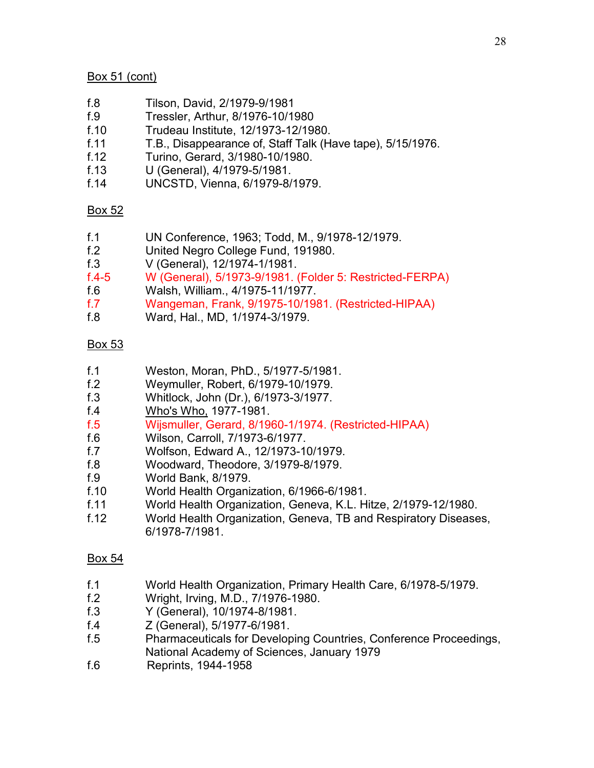## Box 51 (cont)

- f.8 Tilson, David, 2/1979-9/1981
- f.9 Tressler, Arthur, 8/1976-10/1980
- f.10 Trudeau Institute, 12/1973-12/1980.
- f.11 T.B., Disappearance of, Staff Talk (Have tape), 5/15/1976.
- f.12 Turino, Gerard, 3/1980-10/1980.
- f.13 U (General), 4/1979-5/1981.
- f.14 UNCSTD, Vienna, 6/1979-8/1979.

## Box 52

- f.1 UN Conference, 1963; Todd, M., 9/1978-12/1979.
- f.2 United Negro College Fund, 191980.
- f.3 V (General), 12/1974-1/1981.

f.4-5 W (General), 5/1973-9/1981. (Folder 5: Restricted-FERPA)

- f.6 Walsh, William., 4/1975-11/1977.
- f.7 Wangeman, Frank, 9/1975-10/1981. (Restricted-HIPAA)
- f.8 Ward, Hal., MD, 1/1974-3/1979.

## Box 53

- f.1 Weston, Moran, PhD., 5/1977-5/1981.
- f.2 Weymuller, Robert, 6/1979-10/1979.
- f.3 Whitlock, John (Dr.), 6/1973-3/1977.
- f.4 Who's Who, 1977-1981.
- f.5 Wijsmuller, Gerard, 8/1960-1/1974. (Restricted-HIPAA)
- f.6 Wilson, Carroll, 7/1973-6/1977.
- f.7 Wolfson, Edward A., 12/1973-10/1979.
- f.8 Woodward, Theodore, 3/1979-8/1979.
- f.9 World Bank, 8/1979.
- f.10 World Health Organization, 6/1966-6/1981.
- f.11 World Health Organization, Geneva, K.L. Hitze, 2/1979-12/1980.
- f.12 World Health Organization, Geneva, TB and Respiratory Diseases, 6/1978-7/1981.

- f.1 World Health Organization, Primary Health Care, 6/1978-5/1979.
- f.2 Wright, Irving, M.D., 7/1976-1980.
- f.3 Y (General), 10/1974-8/1981.
- f.4 Z (General), 5/1977-6/1981.
- f.5 Pharmaceuticals for Developing Countries, Conference Proceedings, National Academy of Sciences, January 1979
- f.6 Reprints, 1944-1958